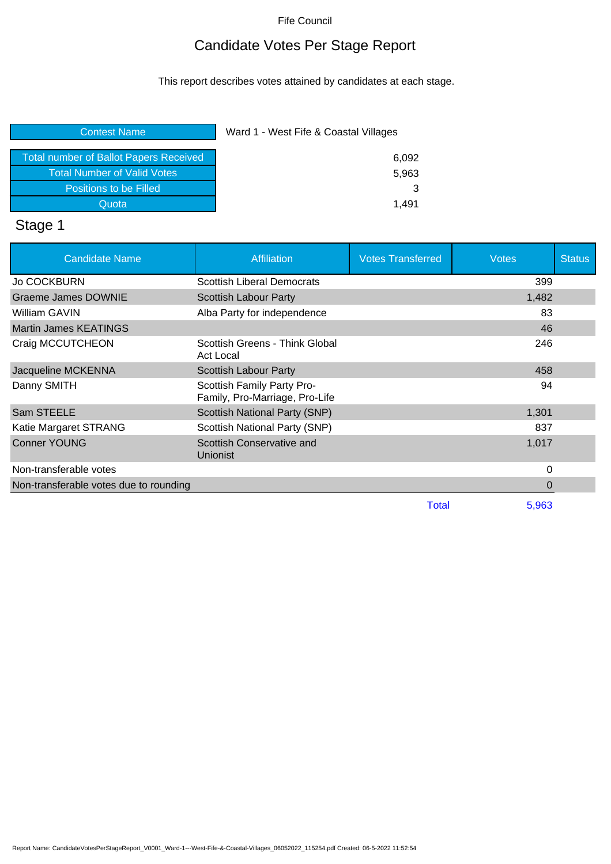# Candidate Votes Per Stage Report

This report describes votes attained by candidates at each stage.

| <b>Contest Name</b> | Ward 1 - West Fife & Coastal Villages |
|---------------------|---------------------------------------|
|                     |                                       |

| <b>Total number of Ballot Papers Received</b> | 6.092 |
|-----------------------------------------------|-------|
| <b>Total Number of Valid Votes</b>            | 5.963 |
| Positions to be Filled                        |       |
| Quota                                         | 1.491 |

# Stage 1

| <b>Candidate Name</b>                  | <b>Affiliation</b>                                           | <b>Votes Transferred</b> | <b>Votes</b> | <b>Status</b> |
|----------------------------------------|--------------------------------------------------------------|--------------------------|--------------|---------------|
| <b>Jo COCKBURN</b>                     | <b>Scottish Liberal Democrats</b>                            |                          | 399          |               |
| <b>Graeme James DOWNIE</b>             | <b>Scottish Labour Party</b>                                 |                          | 1,482        |               |
| William GAVIN                          | Alba Party for independence                                  |                          | 83           |               |
| <b>Martin James KEATINGS</b>           |                                                              |                          | 46           |               |
| Craig MCCUTCHEON                       | Scottish Greens - Think Global<br><b>Act Local</b>           |                          | 246          |               |
| Jacqueline MCKENNA                     | Scottish Labour Party                                        |                          | 458          |               |
| Danny SMITH                            | Scottish Family Party Pro-<br>Family, Pro-Marriage, Pro-Life |                          | 94           |               |
| Sam STEELE                             | Scottish National Party (SNP)                                |                          | 1,301        |               |
| Katie Margaret STRANG                  | Scottish National Party (SNP)                                |                          | 837          |               |
| <b>Conner YOUNG</b>                    | Scottish Conservative and<br>Unionist                        |                          | 1,017        |               |
| Non-transferable votes                 |                                                              |                          | 0            |               |
| Non-transferable votes due to rounding |                                                              |                          | 0            |               |
|                                        |                                                              | Total                    | 5,963        |               |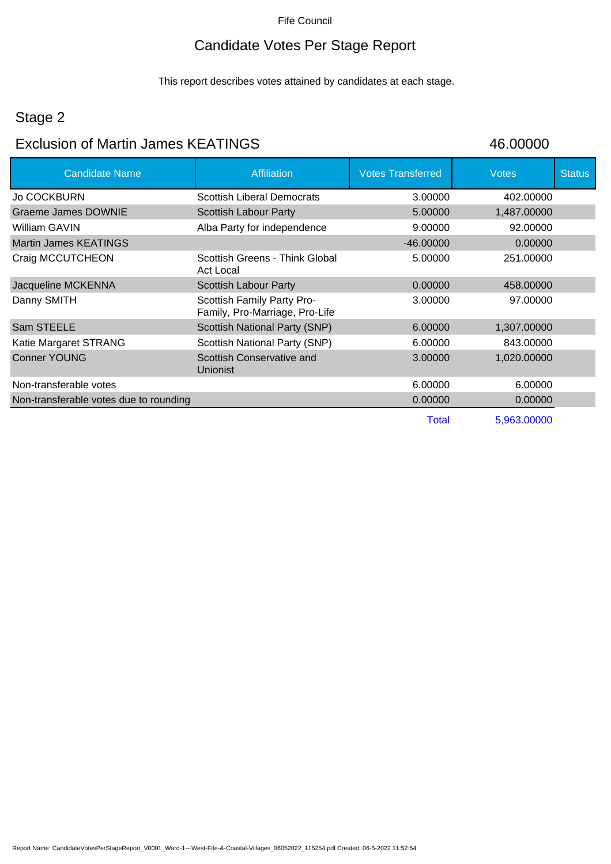# Candidate Votes Per Stage Report

This report describes votes attained by candidates at each stage.

## Stage 2

## Exclusion of Martin James KEATINGS 46.00000

| <b>Candidate Name</b>                  | Affiliation                                                  | <b>Votes Transferred</b> | <b>Votes</b> | <b>Status</b> |
|----------------------------------------|--------------------------------------------------------------|--------------------------|--------------|---------------|
| Jo COCKBURN                            | <b>Scottish Liberal Democrats</b>                            | 3.00000                  | 402.00000    |               |
| Graeme James DOWNIE                    | Scottish Labour Party                                        | 5.00000                  | 1,487.00000  |               |
| William GAVIN                          | Alba Party for independence                                  | 9.00000                  | 92.00000     |               |
| Martin James KEATINGS                  |                                                              | $-46.00000$              | 0.00000      |               |
| Craig MCCUTCHEON                       | Scottish Greens - Think Global<br>Act Local                  | 5.00000                  | 251.00000    |               |
| Jacqueline MCKENNA                     | Scottish Labour Party                                        | 0.00000                  | 458,00000    |               |
| Danny SMITH                            | Scottish Family Party Pro-<br>Family, Pro-Marriage, Pro-Life | 3.00000                  | 97.00000     |               |
| Sam STEELE                             | Scottish National Party (SNP)                                | 6.00000                  | 1,307.00000  |               |
| Katie Margaret STRANG                  | Scottish National Party (SNP)                                | 6.00000                  | 843,00000    |               |
| <b>Conner YOUNG</b>                    | Scottish Conservative and<br><b>Unionist</b>                 | 3.00000                  | 1,020.00000  |               |
| Non-transferable votes                 |                                                              | 6.00000                  | 6.00000      |               |
| Non-transferable votes due to rounding |                                                              | 0.00000                  | 0.00000      |               |
|                                        |                                                              | Total                    | 5,963.00000  |               |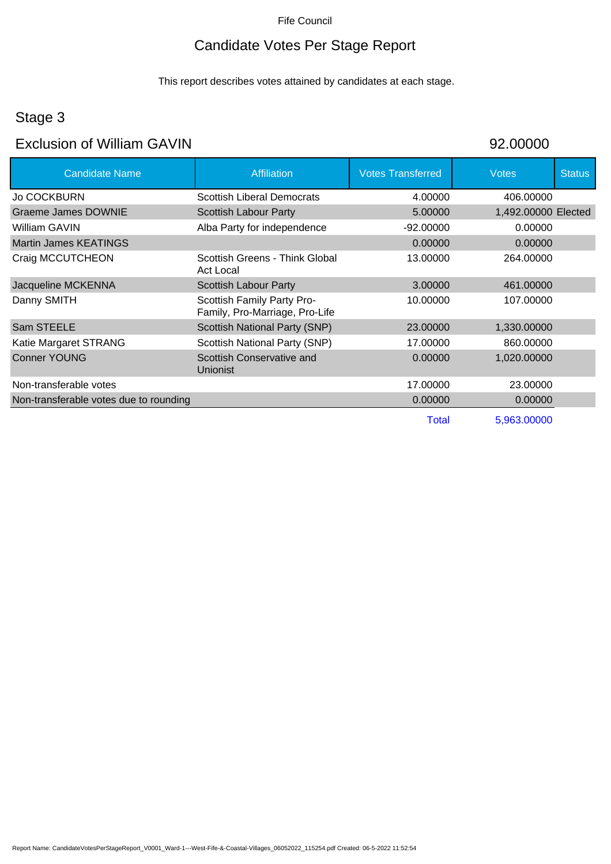### Candidate Votes Per Stage Report

This report describes votes attained by candidates at each stage.

### Stage 3

### Exclusion of William GAVIN 92.00000

Candidate Name **Affiliation** Affiliation **Votes Transferred** Votes Votes Status Jo COCKBURN Scottish Liberal Democrats 4.00000 406.00000 Graeme James DOWNIE Scottish Labour Party 5.00000 1,492.00000 Elected William GAVIN **Alba Party for independence** 492.00000 0.00000 0.00000 Martin James KEATINGS 0.00000 0.00000 Craig MCCUTCHEON Scottish Greens - Think Global Act Local 13.00000 264.00000 Jacqueline MCKENNA Scottish Labour Party 3.00000 461.00000 Danny SMITH Scottish Family Party Pro-Family, Pro-Marriage, Pro-Life 10.00000 107.00000 Sam STEELE Scottish National Party (SNP) 23.00000 1,330.00000 Katie Margaret STRANG Scottish National Party (SNP) 17.00000 860.00000 Conner YOUNG Scottish Conservative and Unionist 0.00000 1,020.00000 Non-transferable votes 23.00000 23.00000 23.00000 23.00000 23.00000 23.00000 23.00000 23.00000 23.00000 23.0000 Non-transferable votes due to rounding 0.00000 0.00000 0.00000 0.00000 0.00000 Total 5,963.00000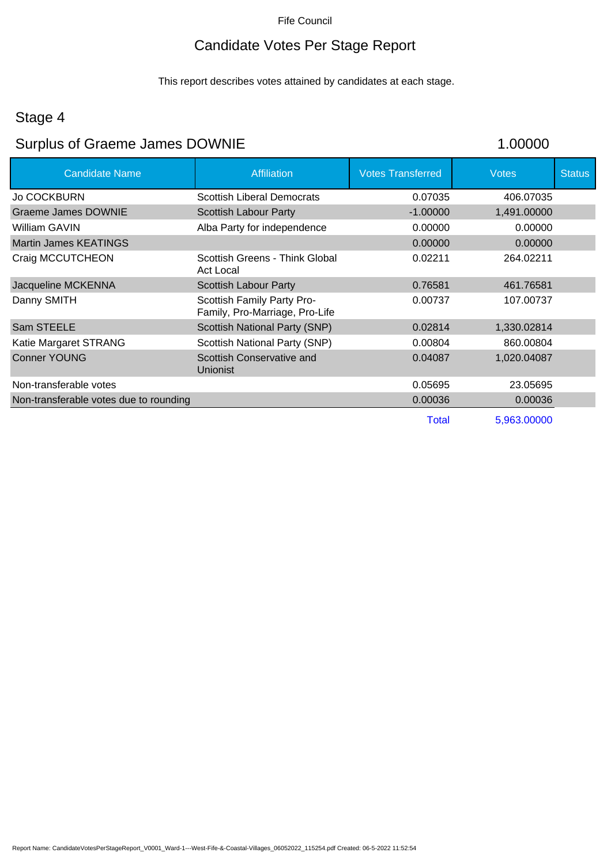# Candidate Votes Per Stage Report

This report describes votes attained by candidates at each stage.

## Stage 4

# Surplus of Graeme James DOWNIE 1.00000

| <b>Candidate Name</b>                  | Affiliation                                                  | <b>Votes Transferred</b> | <b>Votes</b> | <b>Status</b> |
|----------------------------------------|--------------------------------------------------------------|--------------------------|--------------|---------------|
| <b>Jo COCKBURN</b>                     | <b>Scottish Liberal Democrats</b>                            | 0.07035                  | 406.07035    |               |
| Graeme James DOWNIE                    | Scottish Labour Party                                        | $-1.00000$               | 1,491.00000  |               |
| William GAVIN                          | Alba Party for independence                                  | 0.00000                  | 0.00000      |               |
| <b>Martin James KEATINGS</b>           |                                                              | 0.00000                  | 0.00000      |               |
| Craig MCCUTCHEON                       | Scottish Greens - Think Global<br>Act Local                  | 0.02211                  | 264.02211    |               |
| Jacqueline MCKENNA                     | Scottish Labour Party                                        | 0.76581                  | 461.76581    |               |
| Danny SMITH                            | Scottish Family Party Pro-<br>Family, Pro-Marriage, Pro-Life | 0.00737                  | 107.00737    |               |
| Sam STEELE                             | Scottish National Party (SNP)                                | 0.02814                  | 1,330.02814  |               |
| Katie Margaret STRANG                  | Scottish National Party (SNP)                                | 0.00804                  | 860.00804    |               |
| <b>Conner YOUNG</b>                    | Scottish Conservative and<br><b>Unionist</b>                 | 0.04087                  | 1,020.04087  |               |
| Non-transferable votes                 |                                                              | 0.05695                  | 23.05695     |               |
| Non-transferable votes due to rounding |                                                              | 0.00036                  | 0.00036      |               |
|                                        |                                                              | Total                    | 5,963.00000  |               |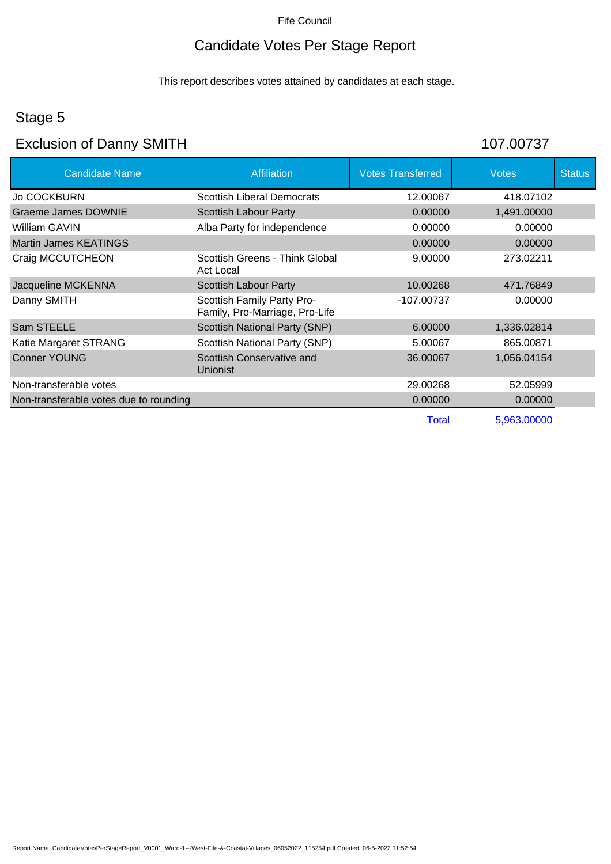# Candidate Votes Per Stage Report

This report describes votes attained by candidates at each stage.

## Stage 5

# Exclusion of Danny SMITH 107.00737

| <b>Candidate Name</b>                  | <b>Affiliation</b>                                           | <b>Votes Transferred</b> | <b>Votes</b> | <b>Status</b> |
|----------------------------------------|--------------------------------------------------------------|--------------------------|--------------|---------------|
| <b>Jo COCKBURN</b>                     | <b>Scottish Liberal Democrats</b>                            | 12.00067                 | 418.07102    |               |
| Graeme James DOWNIE                    | <b>Scottish Labour Party</b>                                 | 0.00000                  | 1,491.00000  |               |
| William GAVIN                          | Alba Party for independence                                  | 0.00000                  | 0.00000      |               |
| <b>Martin James KEATINGS</b>           |                                                              | 0.00000                  | 0.00000      |               |
| Craig MCCUTCHEON                       | Scottish Greens - Think Global<br>Act Local                  | 9.00000                  | 273.02211    |               |
| Jacqueline MCKENNA                     | Scottish Labour Party                                        | 10.00268                 | 471.76849    |               |
| Danny SMITH                            | Scottish Family Party Pro-<br>Family, Pro-Marriage, Pro-Life | -107.00737               | 0.00000      |               |
| Sam STEELE                             | <b>Scottish National Party (SNP)</b>                         | 6.00000                  | 1,336.02814  |               |
| Katie Margaret STRANG                  | Scottish National Party (SNP)                                | 5.00067                  | 865.00871    |               |
| <b>Conner YOUNG</b>                    | Scottish Conservative and<br><b>Unionist</b>                 | 36.00067                 | 1,056.04154  |               |
| Non-transferable votes                 |                                                              | 29.00268                 | 52.05999     |               |
| Non-transferable votes due to rounding |                                                              | 0.00000                  | 0.00000      |               |
|                                        |                                                              | Total                    | 5.963.00000  |               |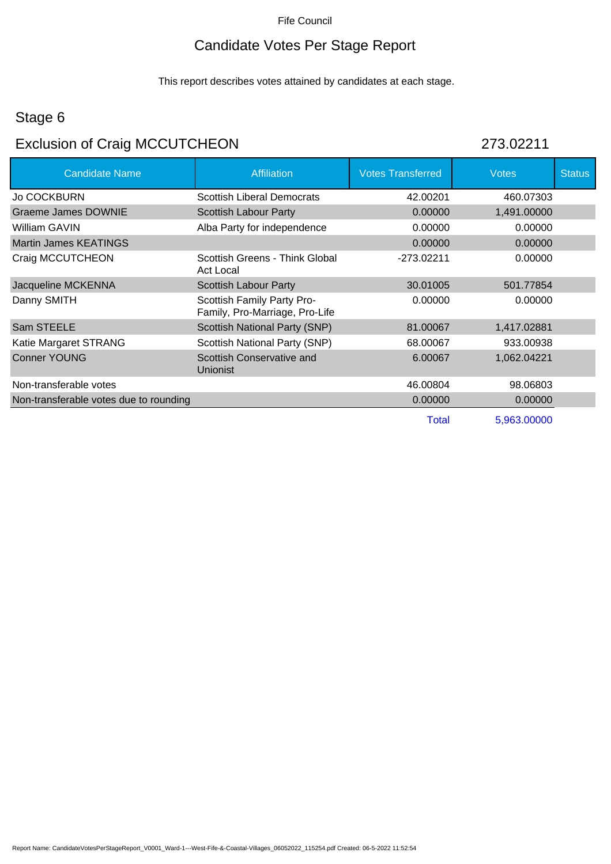# Candidate Votes Per Stage Report

This report describes votes attained by candidates at each stage.

## Stage 6

# Exclusion of Craig MCCUTCHEON 273.02211

| <b>Candidate Name</b>                  | Affiliation                                                  | <b>Votes Transferred</b> | <b>Votes</b> | <b>Status</b> |
|----------------------------------------|--------------------------------------------------------------|--------------------------|--------------|---------------|
| <b>Jo COCKBURN</b>                     | <b>Scottish Liberal Democrats</b>                            | 42.00201                 | 460.07303    |               |
| <b>Graeme James DOWNIE</b>             | Scottish Labour Party                                        | 0.00000                  | 1,491.00000  |               |
| William GAVIN                          | Alba Party for independence                                  | 0.00000                  | 0.00000      |               |
| <b>Martin James KEATINGS</b>           |                                                              | 0.00000                  | 0.00000      |               |
| Craig MCCUTCHEON                       | Scottish Greens - Think Global<br>Act Local                  | -273.02211               | 0.00000      |               |
| Jacqueline MCKENNA                     | Scottish Labour Party                                        | 30.01005                 | 501.77854    |               |
| Danny SMITH                            | Scottish Family Party Pro-<br>Family, Pro-Marriage, Pro-Life | 0.00000                  | 0.00000      |               |
| Sam STEELE                             | Scottish National Party (SNP)                                | 81.00067                 | 1,417.02881  |               |
| Katie Margaret STRANG                  | Scottish National Party (SNP)                                | 68.00067                 | 933.00938    |               |
| <b>Conner YOUNG</b>                    | Scottish Conservative and<br><b>Unionist</b>                 | 6.00067                  | 1,062.04221  |               |
| Non-transferable votes                 |                                                              | 46.00804                 | 98.06803     |               |
| Non-transferable votes due to rounding |                                                              | 0.00000                  | 0.00000      |               |
|                                        |                                                              | Total                    | 5,963.00000  |               |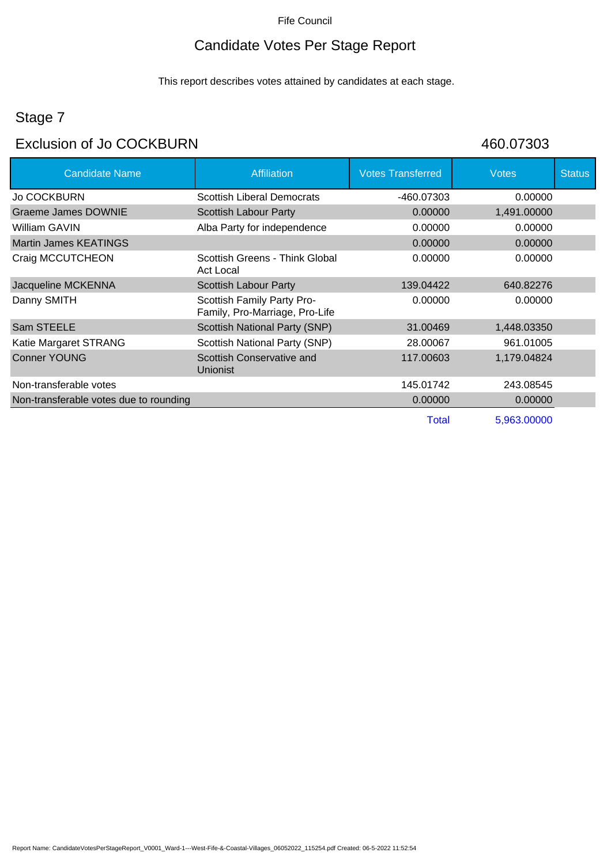## Candidate Votes Per Stage Report

This report describes votes attained by candidates at each stage.

# Stage 7

## Exclusion of Jo COCKBURN 460.07303

| <b>Candidate Name</b>                  | <b>Affiliation</b>                                           | <b>Votes Transferred</b> | <b>Votes</b> | <b>Status</b> |
|----------------------------------------|--------------------------------------------------------------|--------------------------|--------------|---------------|
| <b>Jo COCKBURN</b>                     | <b>Scottish Liberal Democrats</b>                            | -460.07303               | 0.00000      |               |
| <b>Graeme James DOWNIE</b>             | <b>Scottish Labour Party</b>                                 | 0.00000                  | 1,491.00000  |               |
| William GAVIN                          | Alba Party for independence                                  | 0.00000                  | 0.00000      |               |
| Martin James KEATINGS                  |                                                              | 0.00000                  | 0.00000      |               |
| Craig MCCUTCHEON                       | Scottish Greens - Think Global<br>Act Local                  | 0.00000                  | 0.00000      |               |
| Jacqueline MCKENNA                     | Scottish Labour Party                                        | 139.04422                | 640.82276    |               |
| Danny SMITH                            | Scottish Family Party Pro-<br>Family, Pro-Marriage, Pro-Life | 0.00000                  | 0.00000      |               |
| Sam STEELE                             | Scottish National Party (SNP)                                | 31.00469                 | 1,448.03350  |               |
| Katie Margaret STRANG                  | Scottish National Party (SNP)                                | 28.00067                 | 961.01005    |               |
| <b>Conner YOUNG</b>                    | Scottish Conservative and<br><b>Unionist</b>                 | 117.00603                | 1,179.04824  |               |
| Non-transferable votes                 |                                                              | 145.01742                | 243.08545    |               |
| Non-transferable votes due to rounding |                                                              | 0.00000                  | 0.00000      |               |
|                                        |                                                              | <b>Total</b>             | 5,963.00000  |               |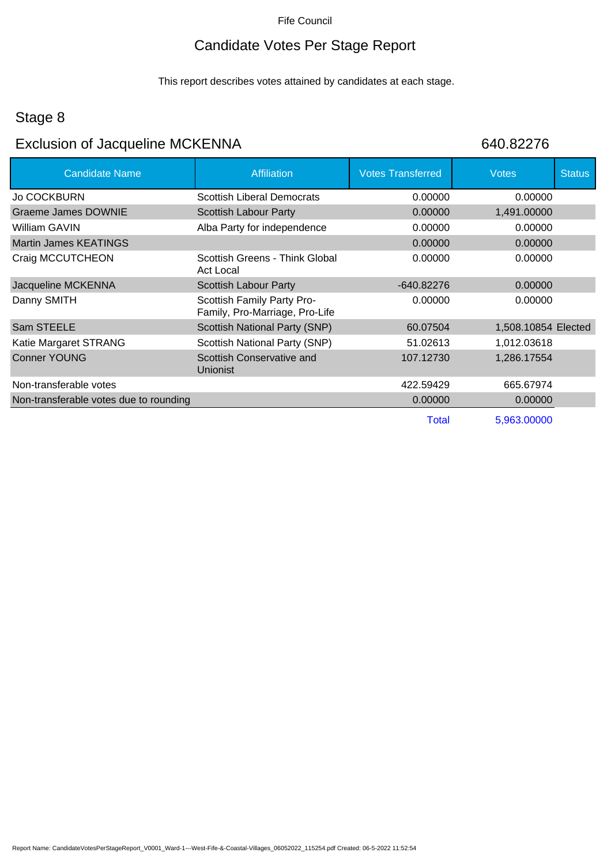# Candidate Votes Per Stage Report

This report describes votes attained by candidates at each stage.

## Stage 8

# Exclusion of Jacqueline MCKENNA 640.82276

| <b>Candidate Name</b>                  | <b>Affiliation</b>                                           | <b>Votes Transferred</b> | <b>Votes</b>        | <b>Status</b> |
|----------------------------------------|--------------------------------------------------------------|--------------------------|---------------------|---------------|
| <b>Jo COCKBURN</b>                     | Scottish Liberal Democrats                                   | 0.00000                  | 0.00000             |               |
| Graeme James DOWNIE                    | Scottish Labour Party                                        | 0.00000                  | 1,491.00000         |               |
| William GAVIN                          | Alba Party for independence                                  | 0.00000                  | 0.00000             |               |
| Martin James KEATINGS                  |                                                              | 0.00000                  | 0.00000             |               |
| Craig MCCUTCHEON                       | Scottish Greens - Think Global<br>Act Local                  | 0.00000                  | 0.00000             |               |
| Jacqueline MCKENNA                     | <b>Scottish Labour Party</b>                                 | $-640.82276$             | 0.00000             |               |
| Danny SMITH                            | Scottish Family Party Pro-<br>Family, Pro-Marriage, Pro-Life | 0.00000                  | 0.00000             |               |
| Sam STEELE                             | <b>Scottish National Party (SNP)</b>                         | 60.07504                 | 1,508.10854 Elected |               |
| Katie Margaret STRANG                  | Scottish National Party (SNP)                                | 51.02613                 | 1,012.03618         |               |
| <b>Conner YOUNG</b>                    | Scottish Conservative and<br><b>Unionist</b>                 | 107.12730                | 1,286.17554         |               |
| Non-transferable votes                 |                                                              | 422.59429                | 665.67974           |               |
| Non-transferable votes due to rounding |                                                              | 0.00000                  | 0.00000             |               |
|                                        |                                                              | Total                    | 5,963.00000         |               |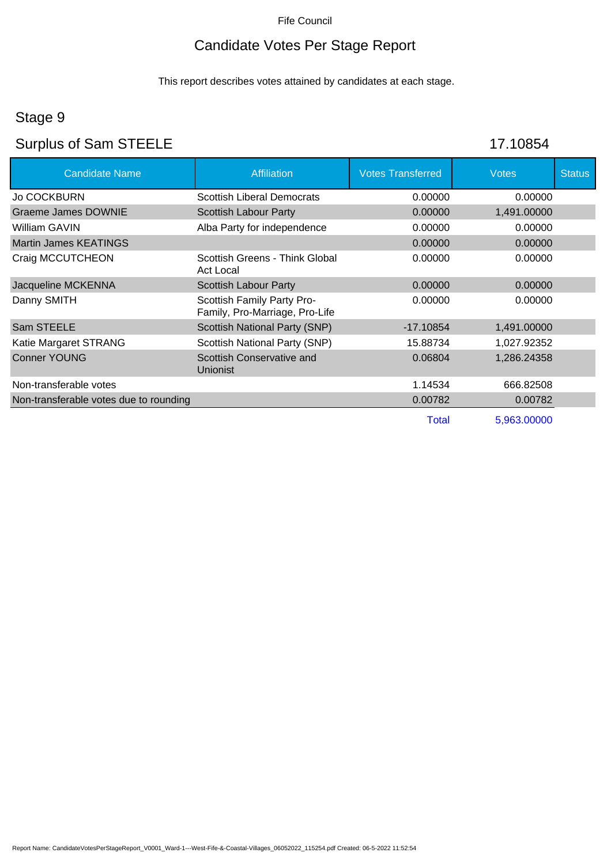# Candidate Votes Per Stage Report

This report describes votes attained by candidates at each stage.

# Stage 9

# Surplus of Sam STEELE 17.10854

| <b>Candidate Name</b>                  | <b>Affiliation</b>                                           | <b>Votes Transferred</b> | <b>Votes</b> | <b>Status</b> |
|----------------------------------------|--------------------------------------------------------------|--------------------------|--------------|---------------|
| <b>Jo COCKBURN</b>                     | <b>Scottish Liberal Democrats</b>                            | 0.00000                  | 0.00000      |               |
| Graeme James DOWNIE                    | Scottish Labour Party                                        | 0.00000                  | 1,491.00000  |               |
| William GAVIN                          | Alba Party for independence                                  | 0.00000                  | 0.00000      |               |
| Martin James KEATINGS                  |                                                              | 0.00000                  | 0.00000      |               |
| Craig MCCUTCHEON                       | Scottish Greens - Think Global<br>Act Local                  | 0.00000                  | 0.00000      |               |
| Jacqueline MCKENNA                     | <b>Scottish Labour Party</b>                                 | 0.00000                  | 0.00000      |               |
| Danny SMITH                            | Scottish Family Party Pro-<br>Family, Pro-Marriage, Pro-Life | 0.00000                  | 0.00000      |               |
| Sam STEELE                             | Scottish National Party (SNP)                                | -17.10854                | 1,491.00000  |               |
| Katie Margaret STRANG                  | Scottish National Party (SNP)                                | 15.88734                 | 1,027.92352  |               |
| <b>Conner YOUNG</b>                    | Scottish Conservative and<br><b>Unionist</b>                 | 0.06804                  | 1,286.24358  |               |
| Non-transferable votes                 |                                                              | 1.14534                  | 666.82508    |               |
| Non-transferable votes due to rounding |                                                              | 0.00782                  | 0.00782      |               |
|                                        |                                                              | Total                    | 5,963.00000  |               |